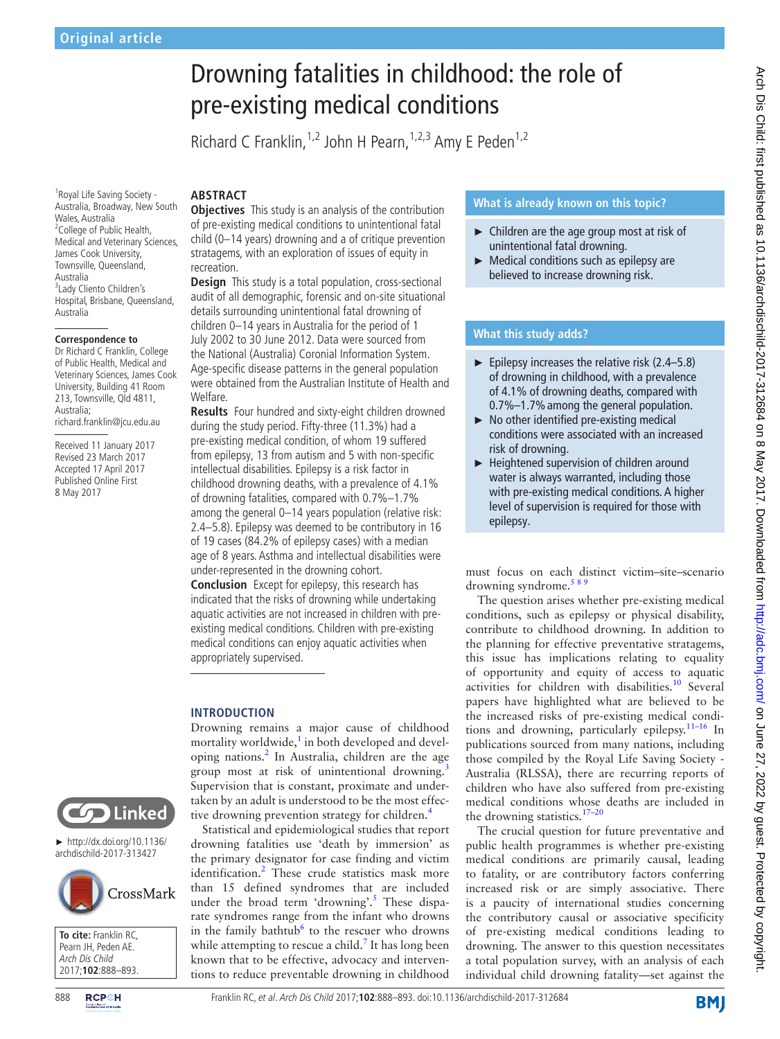# Drowning fatalities in childhood: the role of pre-existing medical conditions

Richard C Franklin,<sup>1,2</sup> John H Pearn,<sup>1,2,3</sup> Amy E Peden<sup>1,2</sup>

#### <sup>1</sup> Royal Life Saving Society -Australia, Broadway, New South Wales, Australia <sup>2</sup> College of Public Health, Medical and Veterinary Sciences, James Cook University, Townsville, Queensland, Australia

<sup>3</sup> Lady Cliento Children's Hospital, Brisbane, Queensland, Australia

#### **Correspondence to**

Dr Richard C Franklin, College of Public Health, Medical and Veterinary Sciences, James Cook University, Building 41 Room 213, Townsville, Qld 4811, Australia; richard.franklin@jcu.edu.au

Received 11 January 2017 Revised 23 March 2017 Accepted 17 April 2017 Published Online First 8 May 2017



► [http://dx.doi.org/10.1136/](http://dx.doi.org/10.1136/archdischild-2017-313427) [archdischild-2017-313427](http://dx.doi.org/10.1136/archdischild-2017-313427)



| To cite: Franklin RC,                                      |  |
|------------------------------------------------------------|--|
|                                                            |  |
|                                                            |  |
| Pearn JH, Peden AE.<br>Arch Dis Child<br>2017;102:888-893. |  |

## **Abstract**

**Objectives** This study is an analysis of the contribution of pre-existing medical conditions to unintentional fatal child (0–14 years) drowning and a of critique prevention stratagems, with an exploration of issues of equity in recreation.

**Design** This study is a total population, cross-sectional audit of all demographic, forensic and on-site situational details surrounding unintentional fatal drowning of children 0–14 years in Australia for the period of 1 July 2002 to 30 June 2012. Data were sourced from the National (Australia) Coronial Information System. Age-specific disease patterns in the general population were obtained from the Australian Institute of Health and Welfare.

**Results** Four hundred and sixty-eight children drowned during the study period. Fifty-three (11.3%) had a pre-existing medical condition, of whom 19 suffered from epilepsy, 13 from autism and 5 with non-specific intellectual disabilities. Epilepsy is a risk factor in childhood drowning deaths, with a prevalence of 4.1% of drowning fatalities, compared with 0.7%–1.7% among the general 0–14 years population (relative risk: 2.4–5.8). Epilepsy was deemed to be contributory in 16 of 19 cases (84.2% of epilepsy cases) with a median age of 8 years. Asthma and intellectual disabilities were under-represented in the drowning cohort. **Conclusion** Except for epilepsy, this research has indicated that the risks of drowning while undertaking

aquatic activities are not increased in children with preexisting medical conditions. Children with pre-existing medical conditions can enjoy aquatic activities when appropriately supervised.

#### **Introduction**

Drowning remains a major cause of childhood mortality worldwide,<sup>1</sup> in both developed and devel-oping nations.<sup>[2](#page-4-1)</sup> In Australia, children are the age group most at risk of unintentional drowning.<sup>[3](#page-4-2)</sup> Supervision that is constant, proximate and undertaken by an adult is understood to be the most effec-tive drowning prevention strategy for children.<sup>[4](#page-4-3)</sup>

Statistical and epidemiological studies that report drowning fatalities use 'death by immersion' as the primary designator for case finding and victim identification.<sup>2</sup> These crude statistics mask more than 15 defined syndromes that are included under the broad term 'drowning'.<sup>[5](#page-4-4)</sup> These disparate syndromes range from the infant who drowns in the family bathtub $^6$  to the rescuer who drowns while attempting to rescue a child.<sup>7</sup> It has long been known that to be effective, advocacy and interventions to reduce preventable drowning in childhood

#### **What is already known on this topic?**

- ► Children are the age group most at risk of unintentional fatal drowning.
- ► Medical conditions such as epilepsy are believed to increase drowning risk.

#### **What this study adds?**

- $\blacktriangleright$  Epilepsy increases the relative risk (2.4–5.8) of drowning in childhood, with a prevalence of 4.1% of drowning deaths, compared with 0.7%–1.7%among the general population.
- ► No other identified pre-existing medical conditions were associated with an increased risk of drowning.
- ► Heightened supervision of children around water is always warranted, including those with pre-existing medical conditions. A higher level of supervision is required for those with epilepsy.

must focus on each distinct victim–site–scenario drowning syndrome.<sup>585</sup>

The question arises whether pre-existing medical conditions, such as epilepsy or physical disability, contribute to childhood drowning. In addition to the planning for effective preventative stratagems, this issue has implications relating to equality of opportunity and equity of access to aquatic activities for children with disabilities.<sup>[10](#page-4-7)</sup> Several papers have highlighted what are believed to be the increased risks of pre-existing medical conditions and drowning, particularly epilepsy. $11-16$  In publications sourced from many nations, including those compiled by the Royal Life Saving Society - Australia (RLSSA), there are recurring reports of children who have also suffered from pre-existing medical conditions whose deaths are included in the drowning statistics.<sup>17-20</sup>

The crucial question for future preventative and public health programmes is whether pre-existing medical conditions are primarily causal, leading to fatality, or are contributory factors conferring increased risk or are simply associative. There is a paucity of international studies concerning the contributory causal or associative specificity of pre-existing medical conditions leading to drowning. The answer to this question necessitates a total population survey, with an analysis of each individual child drowning fatality—set against the

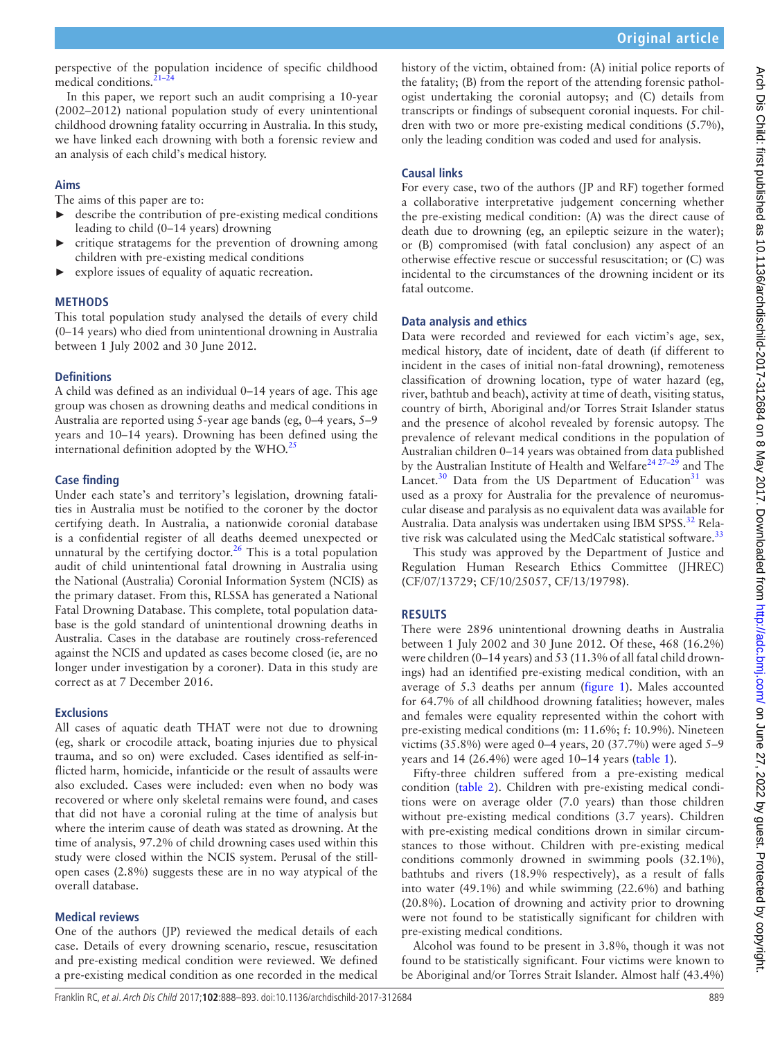perspective of the population incidence of specific childhood medical conditions.

In this paper, we report such an audit comprising a 10-year (2002–2012) national population study of every unintentional childhood drowning fatality occurring in Australia. In this study, we have linked each drowning with both a forensic review and an analysis of each child's medical history.

#### **Aims**

The aims of this paper are to:

- $\triangleright$  describe the contribution of pre-existing medical conditions leading to child (0–14 years) drowning
- ► critique stratagems for the prevention of drowning among children with pre-existing medical conditions
- ► explore issues of equality of aquatic recreation.

#### **Methods**

This total population study analysed the details of every child (0–14 years) who died from unintentional drowning in Australia between 1 July 2002 and 30 June 2012.

#### **Definitions**

A child was defined as an individual 0–14 years of age. This age group was chosen as drowning deaths and medical conditions in Australia are reported using 5-year age bands (eg, 0–4 years, 5–9 years and 10–14 years). Drowning has been defined using the international definition adopted by the WHO.<sup>25</sup>

#### **Case finding**

Under each state's and territory's legislation, drowning fatalities in Australia must be notified to the coroner by the doctor certifying death. In Australia, a nationwide coronial database is a confidential register of all deaths deemed unexpected or unnatural by the certifying doctor.<sup>26</sup> This is a total population audit of child unintentional fatal drowning in Australia using the National (Australia) Coronial Information System (NCIS) as the primary dataset. From this, RLSSA has generated a National Fatal Drowning Database. This complete, total population database is the gold standard of unintentional drowning deaths in Australia. Cases in the database are routinely cross-referenced against the NCIS and updated as cases become closed (ie, are no longer under investigation by a coroner). Data in this study are correct as at 7 December 2016.

#### **Exclusions**

All cases of aquatic death THAT were not due to drowning (eg, shark or crocodile attack, boating injuries due to physical trauma, and so on) were excluded. Cases identified as self-inflicted harm, homicide, infanticide or the result of assaults were also excluded. Cases were included: even when no body was recovered or where only skeletal remains were found, and cases that did not have a coronial ruling at the time of analysis but where the interim cause of death was stated as drowning. At the time of analysis, 97.2% of child drowning cases used within this study were closed within the NCIS system. Perusal of the stillopen cases (2.8%) suggests these are in no way atypical of the overall database.

#### **Medical reviews**

One of the authors (JP) reviewed the medical details of each case. Details of every drowning scenario, rescue, resuscitation and pre-existing medical condition were reviewed. We defined a pre-existing medical condition as one recorded in the medical

history of the victim, obtained from: (A) initial police reports of the fatality; (B) from the report of the attending forensic pathologist undertaking the coronial autopsy; and (C) details from transcripts or findings of subsequent coronial inquests. For children with two or more pre-existing medical conditions (5.7%), only the leading condition was coded and used for analysis.

#### **Causal links**

For every case, two of the authors (IP and RF) together formed a collaborative interpretative judgement concerning whether the pre-existing medical condition: (A) was the direct cause of death due to drowning (eg, an epileptic seizure in the water); or (B) compromised (with fatal conclusion) any aspect of an otherwise effective rescue or successful resuscitation; or (C) was incidental to the circumstances of the drowning incident or its fatal outcome.

#### **Data analysis and ethics**

Data were recorded and reviewed for each victim's age, sex, medical history, date of incident, date of death (if different to incident in the cases of initial non-fatal drowning), remoteness classification of drowning location, type of water hazard (eg, river, bathtub and beach), activity at time of death, visiting status, country of birth, Aboriginal and/or Torres Strait Islander status and the presence of alcohol revealed by forensic autopsy. The prevalence of relevant medical conditions in the population of Australian children 0–14 years was obtained from data published by the Australian Institute of Health and Welfare<sup>24 27–29</sup> and The Lancet.<sup>[30](#page-5-4)</sup> Data from the US Department of Education<sup>[31](#page-5-5)</sup> was used as a proxy for Australia for the prevalence of neuromuscular disease and paralysis as no equivalent data was available for Australia. Data analysis was undertaken using IBM SPSS.<sup>32</sup> Relative risk was calculated using the MedCalc statistical software.<sup>33</sup>

This study was approved by the Department of Justice and Regulation Human Research Ethics Committee (JHREC) (CF/07/13729; CF/10/25057, CF/13/19798).

#### **Results**

There were 2896 unintentional drowning deaths in Australia between 1 July 2002 and 30 June 2012. Of these, 468 (16.2%) were children (0–14 years) and 53 (11.3% of all fatal child drownings) had an identified pre-existing medical condition, with an average of 5.3 deaths per annum [\(figure](#page-2-0) 1). Males accounted for 64.7% of all childhood drowning fatalities; however, males and females were equality represented within the cohort with pre-existing medical conditions (m: 11.6%; f: 10.9%). Nineteen victims (35.8%) were aged 0–4 years, 20 (37.7%) were aged 5–9 years and 14 (26.4%) were aged 10–14 years ([table](#page-2-1) 1).

Fifty-three children suffered from a pre-existing medical condition [\(table](#page-3-0) 2). Children with pre-existing medical conditions were on average older (7.0 years) than those children without pre-existing medical conditions (3.7 years). Children with pre-existing medical conditions drown in similar circumstances to those without. Children with pre-existing medical conditions commonly drowned in swimming pools (32.1%), bathtubs and rivers (18.9% respectively), as a result of falls into water (49.1%) and while swimming (22.6%) and bathing (20.8%). Location of drowning and activity prior to drowning were not found to be statistically significant for children with pre-existing medical conditions.

Alcohol was found to be present in 3.8%, though it was not found to be statistically significant. Four victims were known to be Aboriginal and/or Torres Strait Islander. Almost half (43.4%)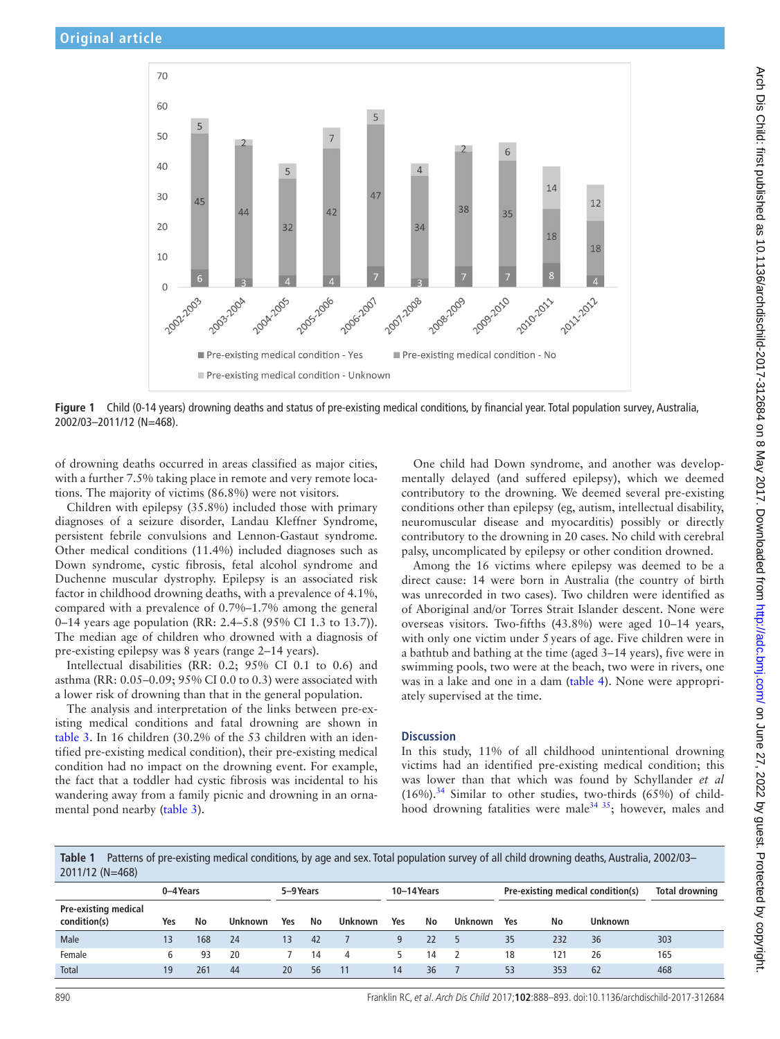

**Figure 1** Child (0-14 years) drowning deaths and status of pre-existing medical conditions, by financial year. Total population survey, Australia, 2002/03–2011/12 (N=468).

of drowning deaths occurred in areas classified as major cities, with a further 7.5% taking place in remote and very remote locations. The majority of victims (86.8%) were not visitors.

Children with epilepsy (35.8%) included those with primary diagnoses of a seizure disorder, Landau Kleffner Syndrome, persistent febrile convulsions and Lennon-Gastaut syndrome. Other medical conditions (11.4%) included diagnoses such as Down syndrome, cystic fibrosis, fetal alcohol syndrome and Duchenne muscular dystrophy. Epilepsy is an associated risk factor in childhood drowning deaths, with a prevalence of 4.1%, compared with a prevalence of 0.7%–1.7% among the general 0–14 years age population (RR: 2.4–5.8 (95% CI 1.3 to 13.7)). The median age of children who drowned with a diagnosis of pre-existing epilepsy was 8 years (range 2–14 years).

Intellectual disabilities (RR: 0.2; 95% CI 0.1 to 0.6) and asthma (RR: 0.05–0.09; 95% CI 0.0 to 0.3) were associated with a lower risk of drowning than that in the general population.

The analysis and interpretation of the links between pre-existing medical conditions and fatal drowning are shown in [table](#page-3-1) 3. In 16 children (30.2% of the 53 children with an identified pre-existing medical condition), their pre-existing medical condition had no impact on the drowning event. For example, the fact that a toddler had cystic fibrosis was incidental to his wandering away from a family picnic and drowning in an ornamental pond nearby ([table](#page-3-1) 3).

<span id="page-2-0"></span>One child had Down syndrome, and another was developmentally delayed (and suffered epilepsy), which we deemed contributory to the drowning. We deemed several pre-existing conditions other than epilepsy (eg, autism, intellectual disability, neuromuscular disease and myocarditis) possibly or directly contributory to the drowning in 20 cases. No child with cerebral palsy, uncomplicated by epilepsy or other condition drowned.

Among the 16 victims where epilepsy was deemed to be a direct cause: 14 were born in Australia (the country of birth was unrecorded in two cases). Two children were identified as of Aboriginal and/or Torres Strait Islander descent. None were overseas visitors. Two-fifths (43.8%) were aged 10–14 years, with only one victim under 5years of age. Five children were in a bathtub and bathing at the time (aged 3–14 years), five were in swimming pools, two were at the beach, two were in rivers, one was in a lake and one in a dam [\(table](#page-4-10) 4). None were appropriately supervised at the time.

#### **Discussion**

In this study, 11% of all childhood unintentional drowning victims had an identified pre-existing medical condition; this was lower than that which was found by Schyllander *et al*  $(16%)$ .<sup>34</sup> Similar to other studies, two-thirds (65%) of childhood drowning fatalities were male<sup>34 35</sup>; however, males and

<span id="page-2-1"></span>**Table 1** Patterns of pre-existing medical conditions, by age and sex. Total population survey of all child drowning deaths, Australia, 2002/03– 2011/12 (N=468)

| _ _ _                                       |           |     |                |           |    |         |             |    |                                   |     |                |                |     |
|---------------------------------------------|-----------|-----|----------------|-----------|----|---------|-------------|----|-----------------------------------|-----|----------------|----------------|-----|
|                                             | 0-4 Years |     |                | 5-9 Years |    |         | 10-14 Years |    | Pre-existing medical condition(s) |     | Total drowning |                |     |
| <b>Pre-existing medical</b><br>condition(s) | Yes       | No  | <b>Unknown</b> | Yes       | No | Unknown | Yes         | No | <b>Unknown</b>                    | Yes | No             | <b>Unknown</b> |     |
| Male                                        | 13        | 168 | 24             | 13        | 42 |         | 9           | 22 |                                   | 35  | 232            | 36             | 303 |
| Female                                      | b         | 93  | 20             |           | 14 |         |             | 14 |                                   | 18  | 121            | 26             | 165 |
| <b>Total</b>                                | 19        | 261 | 44             | 20        | 56 | 11      | 14          | 36 |                                   | 53  | 353            | 62             | 468 |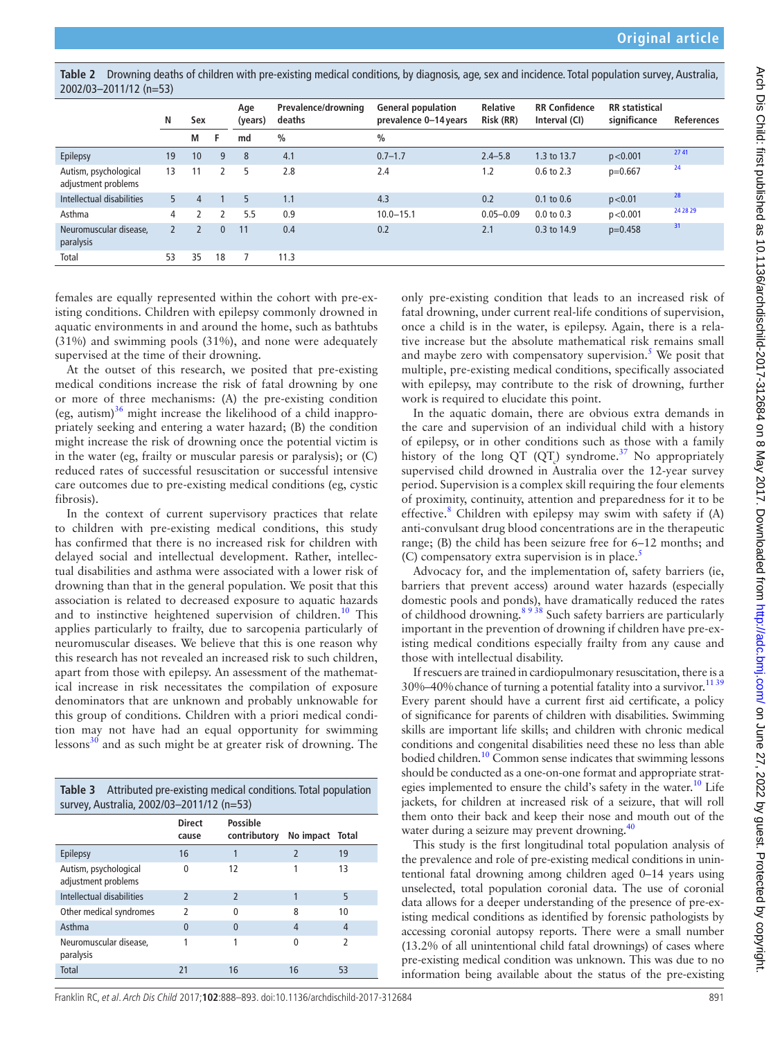<span id="page-3-0"></span>**Table 2** Drowning deaths of children with pre-existing medical conditions, by diagnosis, age, sex and incidence. Total population survey, Australia, 2002/03–2011/12 (n=53)

|                                              | N  | Sex                      |          | Age<br>(years) | Prevalence/drowning<br>deaths | <b>General population</b><br>prevalence 0-14 years | <b>Relative</b><br>Risk (RR) | <b>RR Confidence</b><br>Interval (CI) | <b>RR</b> statistical<br>significance | <b>References</b> |
|----------------------------------------------|----|--------------------------|----------|----------------|-------------------------------|----------------------------------------------------|------------------------------|---------------------------------------|---------------------------------------|-------------------|
|                                              |    | M                        | F        | md             | $\%$                          | $\frac{0}{0}$                                      |                              |                                       |                                       |                   |
| Epilepsy                                     | 19 | 10                       | 9        | 8              | 4.1                           | $0.7 - 1.7$                                        | $2.4 - 5.8$                  | 1.3 to 13.7                           | p < 0.001                             | 2741              |
| Autism, psychological<br>adjustment problems | 13 | 11                       |          | 5              | 2.8                           | 2.4                                                | 1.2                          | 0.6 to 2.3                            | $p=0.667$                             | 24                |
| Intellectual disabilities                    | 5  | 4                        |          | 5              | 1.1                           | 4.3                                                | 0.2                          | $0.1$ to $0.6$                        | p < 0.01                              | 28                |
| Asthma                                       | 4  | $\mathcal{P}$            |          | 5.5            | 0.9                           | $10.0 - 15.1$                                      | $0.05 - 0.09$                | $0.0$ to $0.3$                        | p < 0.001                             | 24 28 29          |
| Neuromuscular disease,<br>paralysis          |    | $\overline{\phantom{a}}$ | $\Omega$ | 11             | 0.4                           | 0.2                                                | 2.1                          | 0.3 to 14.9                           | $p=0.458$                             | 31                |
| Total                                        | 53 | 35                       | 18       |                | 11.3                          |                                                    |                              |                                       |                                       |                   |

females are equally represented within the cohort with pre-existing conditions. Children with epilepsy commonly drowned in aquatic environments in and around the home, such as bathtubs (31%) and swimming pools (31%), and none were adequately supervised at the time of their drowning.

At the outset of this research, we posited that pre-existing medical conditions increase the risk of fatal drowning by one or more of three mechanisms: (A) the pre-existing condition (eg, autism) $36$  might increase the likelihood of a child inappropriately seeking and entering a water hazard; (B) the condition might increase the risk of drowning once the potential victim is in the water (eg, frailty or muscular paresis or paralysis); or (C) reduced rates of successful resuscitation or successful intensive care outcomes due to pre-existing medical conditions (eg, cystic fibrosis).

In the context of current supervisory practices that relate to children with pre-existing medical conditions, this study has confirmed that there is no increased risk for children with delayed social and intellectual development. Rather, intellectual disabilities and asthma were associated with a lower risk of drowning than that in the general population. We posit that this association is related to decreased exposure to aquatic hazards and to instinctive heightened supervision of children.<sup>10</sup> This applies particularly to frailty, due to sarcopenia particularly of neuromuscular diseases. We believe that this is one reason why this research has not revealed an increased risk to such children, apart from those with epilepsy. An assessment of the mathematical increase in risk necessitates the compilation of exposure denominators that are unknown and probably unknowable for this group of conditions. Children with a priori medical condition may not have had an equal opportunity for swimming lessons $30$  and as such might be at greater risk of drowning. The

<span id="page-3-1"></span>

| Attributed pre-existing medical conditions. Total population<br>Table 3<br>survey, Australia, 2002/03-2011/12 (n=53) |                        |                          |                 |                |  |  |  |  |
|----------------------------------------------------------------------------------------------------------------------|------------------------|--------------------------|-----------------|----------------|--|--|--|--|
|                                                                                                                      | <b>Direct</b><br>cause | Possible<br>contributory | No impact Total |                |  |  |  |  |
| Epilepsy                                                                                                             | 16                     |                          | $\mathfrak{p}$  | 19             |  |  |  |  |
| Autism, psychological<br>adjustment problems                                                                         | 0                      | 12                       |                 | 13             |  |  |  |  |
| Intellectual disabilities                                                                                            | $\mathfrak{p}$         | $\mathfrak{p}$           |                 | 5              |  |  |  |  |
| Other medical syndromes                                                                                              | $\mathfrak z$          | U                        | 8               | 10             |  |  |  |  |
| Asthma                                                                                                               | $\Omega$               | $\Omega$                 | 4               | $\overline{4}$ |  |  |  |  |
| Neuromuscular disease.<br>paralysis                                                                                  | 1                      |                          | 0               | 2              |  |  |  |  |
| <b>Total</b>                                                                                                         | 21                     | 16                       | 16              | 53             |  |  |  |  |

only pre-existing condition that leads to an increased risk of fatal drowning, under current real-life conditions of supervision, once a child is in the water, is epilepsy. Again, there is a relative increase but the absolute mathematical risk remains small and maybe zero with compensatory supervision.<sup>[5](#page-4-4)</sup> We posit that multiple, pre-existing medical conditions, specifically associated with epilepsy, may contribute to the risk of drowning, further work is required to elucidate this point.

In the aquatic domain, there are obvious extra demands in the care and supervision of an individual child with a history of epilepsy, or in other conditions such as those with a family history of the long QT (QT<sub>c</sub>) syndrome.<sup>37</sup> No appropriately supervised child drowned in Australia over the 12-year survey period. Supervision is a complex skill requiring the four elements of proximity, continuity, attention and preparedness for it to be effective.<sup>[8](#page-4-11)</sup> Children with epilepsy may swim with safety if (A) anti-convulsant drug blood concentrations are in the therapeutic range; (B) the child has been seizure free for 6–12 months; and (C) compensatory extra supervision is in place. $\overline{\phantom{a}}$ 

Advocacy for, and the implementation of, safety barriers (ie, barriers that prevent access) around water hazards (especially domestic pools and ponds), have dramatically reduced the rates of childhood drowning.[8 9 38](#page-4-11) Such safety barriers are particularly important in the prevention of drowning if children have pre-existing medical conditions especially frailty from any cause and those with intellectual disability.

If rescuers are trained in cardiopulmonary resuscitation, there is a 30%–40% chance of turning a potential fatality into a survivor.<sup>1139</sup> Every parent should have a current first aid certificate, a policy of significance for parents of children with disabilities. Swimming skills are important life skills; and children with chronic medical conditions and congenital disabilities need these no less than able bodied children[.10](#page-4-7) Common sense indicates that swimming lessons should be conducted as a one-on-one format and appropriate strategies implemented to ensure the child's safety in the water.<sup>10</sup> Life jackets, for children at increased risk of a seizure, that will roll them onto their back and keep their nose and mouth out of the water during a seizure may prevent drowning.<sup>4</sup>

This study is the first longitudinal total population analysis of the prevalence and role of pre-existing medical conditions in unintentional fatal drowning among children aged 0–14 years using unselected, total population coronial data. The use of coronial data allows for a deeper understanding of the presence of pre-existing medical conditions as identified by forensic pathologists by accessing coronial autopsy reports. There were a small number (13.2% of all unintentional child fatal drownings) of cases where pre-existing medical condition was unknown. This was due to no information being available about the status of the pre-existing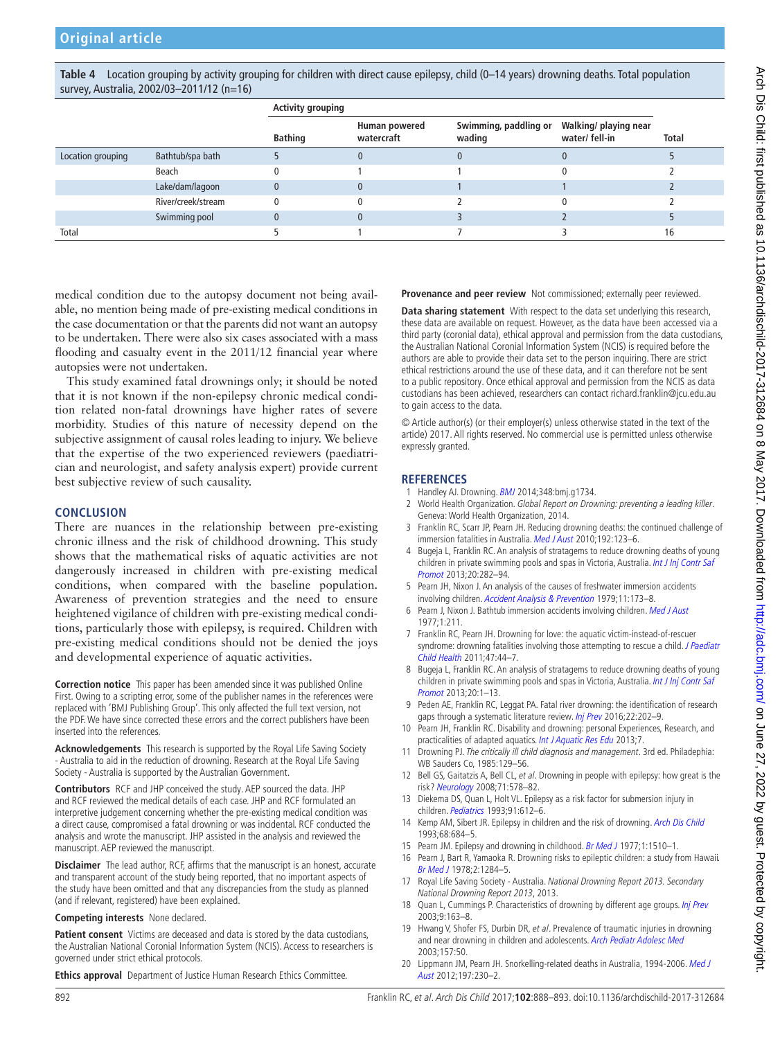<span id="page-4-10"></span>**Table 4** Location grouping by activity grouping for children with direct cause epilepsy, child (0–14 years) drowning deaths. Total population survey, Australia, 2002/03–2011/12 (n=16)

|                   |                    | <b>Activity grouping</b> |                             |                                 |                                        |              |  |  |
|-------------------|--------------------|--------------------------|-----------------------------|---------------------------------|----------------------------------------|--------------|--|--|
|                   |                    | <b>Bathing</b>           | Human powered<br>watercraft | Swimming, paddling or<br>wading | Walking/ playing near<br>water/fell-in | <b>Total</b> |  |  |
| Location grouping | Bathtub/spa bath   |                          |                             |                                 |                                        |              |  |  |
|                   | Beach              |                          |                             |                                 |                                        |              |  |  |
|                   | Lake/dam/lagoon    |                          |                             |                                 |                                        |              |  |  |
|                   | River/creek/stream |                          |                             |                                 |                                        |              |  |  |
|                   | Swimming pool      |                          |                             |                                 |                                        |              |  |  |
| Total             |                    |                          |                             |                                 |                                        |              |  |  |

medical condition due to the autopsy document not being available, no mention being made of pre-existing medical conditions in the case documentation or that the parents did not want an autopsy to be undertaken. There were also six cases associated with a mass flooding and casualty event in the 2011/12 financial year where autopsies were not undertaken.

This study examined fatal drownings only; it should be noted that it is not known if the non-epilepsy chronic medical condition related non-fatal drownings have higher rates of severe morbidity. Studies of this nature of necessity depend on the subjective assignment of causal roles leading to injury. We believe that the expertise of the two experienced reviewers (paediatrician and neurologist, and safety analysis expert) provide current best subjective review of such causality.

#### **Conclusion**

There are nuances in the relationship between pre-existing chronic illness and the risk of childhood drowning. This study shows that the mathematical risks of aquatic activities are not dangerously increased in children with pre-existing medical conditions, when compared with the baseline population. Awareness of prevention strategies and the need to ensure heightened vigilance of children with pre-existing medical conditions, particularly those with epilepsy, is required. Children with pre-existing medical conditions should not be denied the joys and developmental experience of aquatic activities.

**Correction notice** This paper has been amended since it was published Online First. Owing to a scripting error, some of the publisher names in the references were replaced with 'BMJ Publishing Group'. This only affected the full text version, not the PDF. We have since corrected these errors and the correct publishers have been inserted into the references.

**Acknowledgements** This research is supported by the Royal Life Saving Society - Australia to aid in the reduction of drowning. Research at the Royal Life Saving Society - Australia is supported by the Australian Government.

**Contributors** RCF and JHP conceived the study. AEP sourced the data. JHP and RCF reviewed the medical details of each case. JHP and RCF formulated an interpretive judgement concerning whether the pre-existing medical condition was a direct cause, compromised a fatal drowning or was incidental. RCF conducted the analysis and wrote the manuscript. JHP assisted in the analysis and reviewed the manuscript. AEP reviewed the manuscript.

**Disclaimer** The lead author, RCF, affirms that the manuscript is an honest, accurate and transparent account of the study being reported, that no important aspects of the study have been omitted and that any discrepancies from the study as planned (and if relevant, registered) have been explained.

#### **Competing interests** None declared.

**Patient consent** Victims are deceased and data is stored by the data custodians, the Australian National Coronial Information System (NCIS). Access to researchers is governed under strict ethical protocols.

**Ethics approval** Department of Justice Human Research Ethics Committee.

**Provenance and peer review** Not commissioned; externally peer reviewed.

**Data sharing statement** With respect to the data set underlying this research, these data are available on request. However, as the data have been accessed via a third party (coronial data), ethical approval and permission from the data custodians, the Australian National Coronial Information System (NCIS) is required before the authors are able to provide their data set to the person inquiring. There are strict ethical restrictions around the use of these data, and it can therefore not be sent to a public repository. Once ethical approval and permission from the NCIS as data custodians has been achieved, researchers can contact richard.franklin@jcu.edu.au to gain access to the data.

© Article author(s) (or their employer(s) unless otherwise stated in the text of the article) 2017. All rights reserved. No commercial use is permitted unless otherwise expressly granted.

#### **References**

- <span id="page-4-0"></span>1 Handley AJ. Drowning. [BMJ](http://dx.doi.org/10.1136/bmj.g1734) 2014;348:bmj.g1734.
- <span id="page-4-1"></span>2 World Health Organization. Global Report on Drowning: preventing a leading killer. Geneva: World Health Organization, 2014.
- <span id="page-4-2"></span>3 Franklin RC, Scarr JP, Pearn JH. Reducing drowning deaths: the continued challenge of immersion fatalities in Australia. Med J Aust 2010;192:123-6.
- <span id="page-4-3"></span>4 Bugeja L, Franklin RC. An analysis of stratagems to reduce drowning deaths of young children in private swimming pools and spas in Victoria, Australia. Int J Inj Contr Saf [Promot](http://dx.doi.org/10.1080/17457300.2012.717086) 2013;20:282–94.
- <span id="page-4-4"></span>5 Pearn JH, Nixon J. An analysis of the causes of freshwater immersion accidents involving children. [Accident Analysis & Prevention](http://dx.doi.org/10.1016/0001-4575(79)90002-2) 1979;11:173-8.
- <span id="page-4-5"></span>6 Pearn J, Nixon J. Bathtub immersion accidents involving children. Med J Aust 1977;1:211.
- <span id="page-4-6"></span>7 Franklin RC, Pearn JH. Drowning for love: the aquatic victim-instead-of-rescuer syndrome: drowning fatalities involving those attempting to rescue a child. *J Paediatr* [Child Health](http://dx.doi.org/10.1111/j.1440-1754.2010.01889.x) 2011;47:44–7.
- <span id="page-4-11"></span>8 Bugeja L, Franklin RC. An analysis of stratagems to reduce drowning deaths of young children in private swimming pools and spas in Victoria, Australia. Int J Inj Contr Saf [Promot](http://dx.doi.org/10.1080/17457300.2012.717086) 2013;20:1–13.
- 9 Peden AE, Franklin RC, Leggat PA. Fatal river drowning: the identification of research gaps through a systematic literature review. [Inj Prev](http://dx.doi.org/10.1136/injuryprev-2015-041750) 2016;22:202-9.
- <span id="page-4-7"></span>10 Pearn JH, Franklin RC. Disability and drowning: personal Experiences, Research, and practicalities of adapted aquatics. Int J Aquatic Res Edu 2013;7.
- <span id="page-4-8"></span>11 Drowning PJ. The critically ill child diagnosis and management. 3rd ed. Philadephia: WB Sauders Co, 1985:129–56.
- 12 Bell GS, Gaitatzis A, Bell CL, et al. Drowning in people with epilepsy: how great is the risk? [Neurology](http://dx.doi.org/10.1212/01.wnl.0000323813.36193.4d) 2008;71:578–82.
- 13 Diekema DS, Quan L, Holt VL. Epilepsy as a risk factor for submersion injury in children. Pediatrics 1993;91:612-6.
- 14 Kemp AM, Sibert JR. Epilepsy in children and the risk of drowning. [Arch Dis Child](http://dx.doi.org/10.1136/adc.68.5.684) 1993;68:684–5.
- 15 Pearn JM. Epilepsy and drowning in childhood. [Br Med J](http://dx.doi.org/10.1136/bmj.1.6075.1510) 1977;1:1510-1.
- 16 Pearn J, Bart R, Yamaoka R. Drowning risks to epileptic children: a study from Hawaii. [Br Med J](http://dx.doi.org/10.1136/bmj.2.6147.1284) 1978;2:1284–5.
- <span id="page-4-9"></span>17 Royal Life Saving Society - Australia. National Drowning Report 2013. Secondary National Drowning Report 2013, 2013.
- 18 Quan L, Cummings P. Characteristics of drowning by different age groups. [Inj Prev](http://dx.doi.org/10.1136/ip.9.2.163) 2003;9:163–8.
- 19 Hwang V, Shofer FS, Durbin DR, et al. Prevalence of traumatic injuries in drowning and near drowning in children and adolescents. [Arch Pediatr Adolesc Med](http://dx.doi.org/10.1001/archpedi.157.1.50) 2003;157:50.
- 20 Lippmann JM, Pearn JH. Snorkelling-related deaths in Australia, 1994-2006. Med J [Aust](http://dx.doi.org/10.5694/mja11.10988) 2012;197:230–2.